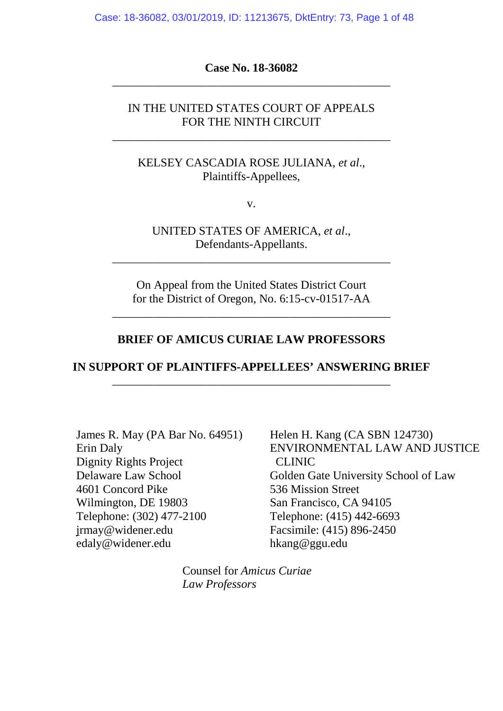Case: 18-36082, 03/01/2019, ID: 11213675, DktEntry: 73, Page 1 of 48

**Case No. 18-36082** \_\_\_\_\_\_\_\_\_\_\_\_\_\_\_\_\_\_\_\_\_\_\_\_\_\_\_\_\_\_\_\_\_\_\_\_\_\_\_\_\_\_\_\_\_\_\_

## IN THE UNITED STATES COURT OF APPEALS FOR THE NINTH CIRCUIT

\_\_\_\_\_\_\_\_\_\_\_\_\_\_\_\_\_\_\_\_\_\_\_\_\_\_\_\_\_\_\_\_\_\_\_\_\_\_\_\_\_\_\_\_\_\_\_

KELSEY CASCADIA ROSE JULIANA, *et al*., Plaintiffs-Appellees,

v.

UNITED STATES OF AMERICA, *et al*., Defendants-Appellants.

\_\_\_\_\_\_\_\_\_\_\_\_\_\_\_\_\_\_\_\_\_\_\_\_\_\_\_\_\_\_\_\_\_\_\_\_\_\_\_\_\_\_\_\_\_\_\_

On Appeal from the United States District Court for the District of Oregon, No. 6:15-cv-01517-AA

\_\_\_\_\_\_\_\_\_\_\_\_\_\_\_\_\_\_\_\_\_\_\_\_\_\_\_\_\_\_\_\_\_\_\_\_\_\_\_\_\_\_\_\_\_\_\_

### **BRIEF OF AMICUS CURIAE LAW PROFESSORS**

## **IN SUPPORT OF PLAINTIFFS-APPELLEES' ANSWERING BRIEF** \_\_\_\_\_\_\_\_\_\_\_\_\_\_\_\_\_\_\_\_\_\_\_\_\_\_\_\_\_\_\_\_\_\_\_\_\_\_\_\_\_\_\_\_\_\_\_

James R. May (PA Bar No. 64951) Erin Daly Dignity Rights Project Delaware Law School 4601 Concord Pike Wilmington, DE 19803 Telephone: (302) 477-2100 [jrmay@widener.edu](mailto:jrmay@widener.edu) [edaly@widener.edu](mailto:edaly@widener.edu)

Helen H. Kang (CA SBN 124730) ENVIRONMENTAL LAW AND JUSTICE CLINIC Golden Gate University School of Law 536 Mission Street San Francisco, CA 94105 Telephone: (415) 442-6693 Facsimile: (415) 896-2450 hkang@ggu.edu

Counsel for *Amicus Curiae Law Professors*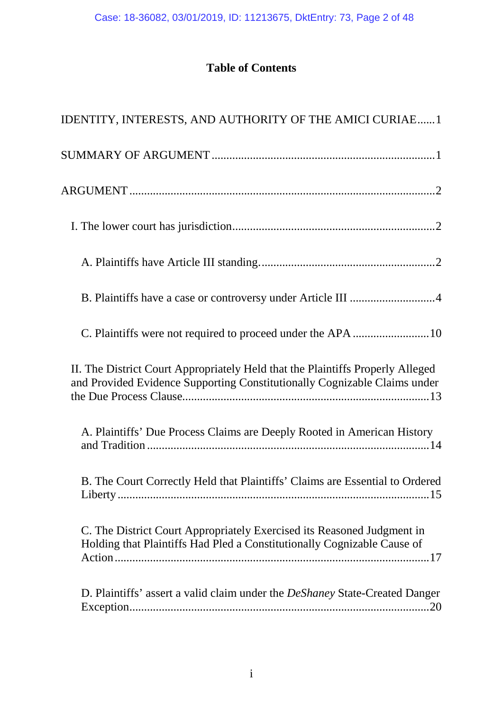# **Table of Contents**

| IDENTITY, INTERESTS, AND AUTHORITY OF THE AMICI CURIAE1                                                                                                     |
|-------------------------------------------------------------------------------------------------------------------------------------------------------------|
|                                                                                                                                                             |
|                                                                                                                                                             |
|                                                                                                                                                             |
|                                                                                                                                                             |
|                                                                                                                                                             |
|                                                                                                                                                             |
| II. The District Court Appropriately Held that the Plaintiffs Properly Alleged<br>and Provided Evidence Supporting Constitutionally Cognizable Claims under |
| A. Plaintiffs' Due Process Claims are Deeply Rooted in American History                                                                                     |
| B. The Court Correctly Held that Plaintiffs' Claims are Essential to Ordered                                                                                |
| C. The District Court Appropriately Exercised its Reasoned Judgment in<br>Holding that Plaintiffs Had Pled a Constitutionally Cognizable Cause of           |
| D. Plaintiffs' assert a valid claim under the <i>DeShaney</i> State-Created Danger                                                                          |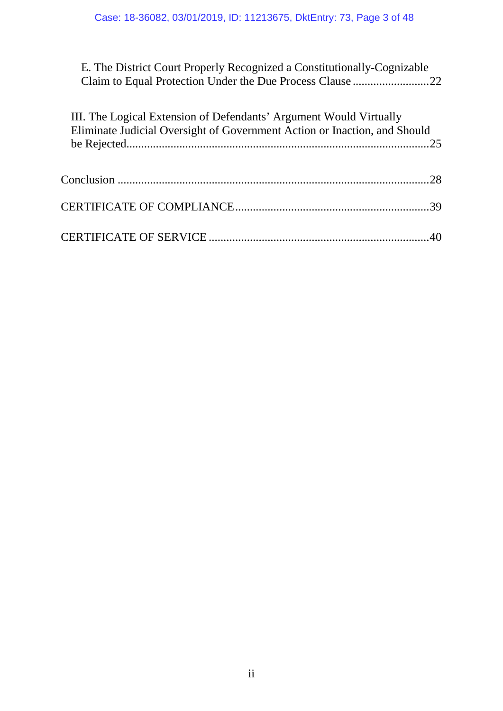E. The District Court Properly Recognized a Constitutionally-Cognizable Claim to Equal Protection Under the Due Process Clause ..........................22

| III. The Logical Extension of Defendants' Argument Would Virtually<br>Eliminate Judicial Oversight of Government Action or Inaction, and Should |  |
|-------------------------------------------------------------------------------------------------------------------------------------------------|--|
|                                                                                                                                                 |  |
|                                                                                                                                                 |  |
|                                                                                                                                                 |  |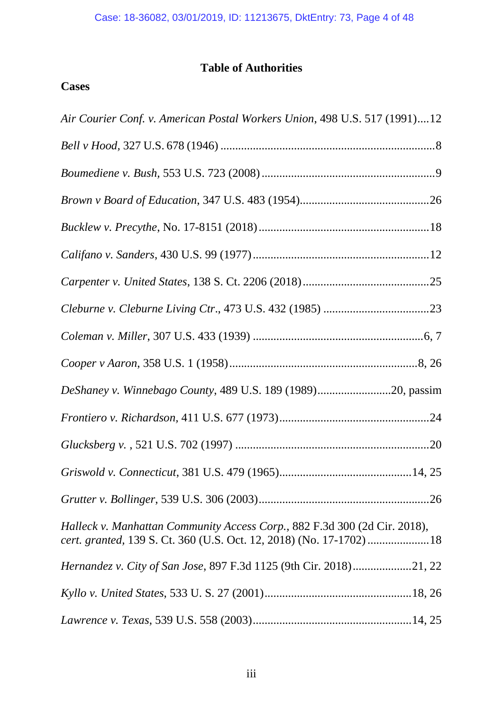# **Table of Authorities**

# **Cases**

| Air Courier Conf. v. American Postal Workers Union, 498 U.S. 517 (1991)12 |
|---------------------------------------------------------------------------|
|                                                                           |
|                                                                           |
|                                                                           |
|                                                                           |
|                                                                           |
|                                                                           |
|                                                                           |
|                                                                           |
|                                                                           |
| DeShaney v. Winnebago County, 489 U.S. 189 (1989)20, passim               |
|                                                                           |
|                                                                           |
|                                                                           |
|                                                                           |
| Halleck v. Manhattan Community Access Corp., 882 F.3d 300 (2d Cir. 2018), |
| Hernandez v. City of San Jose, 897 F.3d 1125 (9th Cir. 2018)21, 22        |
|                                                                           |
|                                                                           |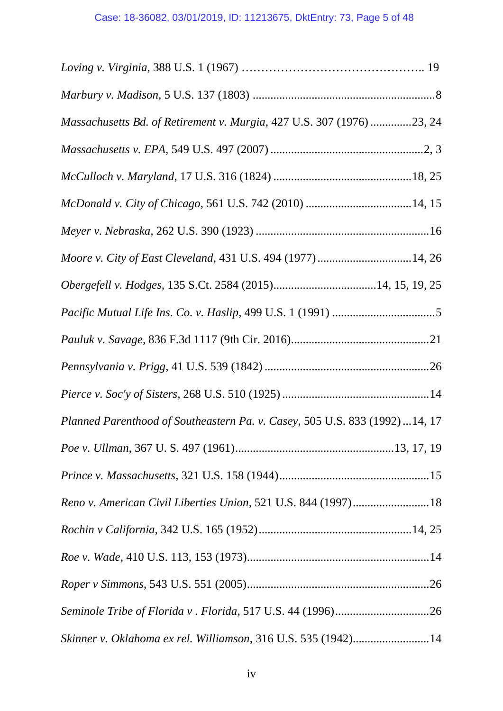| Massachusetts Bd. of Retirement v. Murgia, 427 U.S. 307 (1976) 23, 24       |
|-----------------------------------------------------------------------------|
|                                                                             |
|                                                                             |
|                                                                             |
|                                                                             |
| Moore v. City of East Cleveland, 431 U.S. 494 (1977) 14, 26                 |
| Obergefell v. Hodges, 135 S.Ct. 2584 (2015)14, 15, 19, 25                   |
|                                                                             |
|                                                                             |
|                                                                             |
|                                                                             |
| Planned Parenthood of Southeastern Pa. v. Casey, 505 U.S. 833 (1992) 14, 17 |
|                                                                             |
|                                                                             |
| Reno v. American Civil Liberties Union, 521 U.S. 844 (1997)18               |
|                                                                             |
|                                                                             |
|                                                                             |
|                                                                             |
| Skinner v. Oklahoma ex rel. Williamson, 316 U.S. 535 (1942)14               |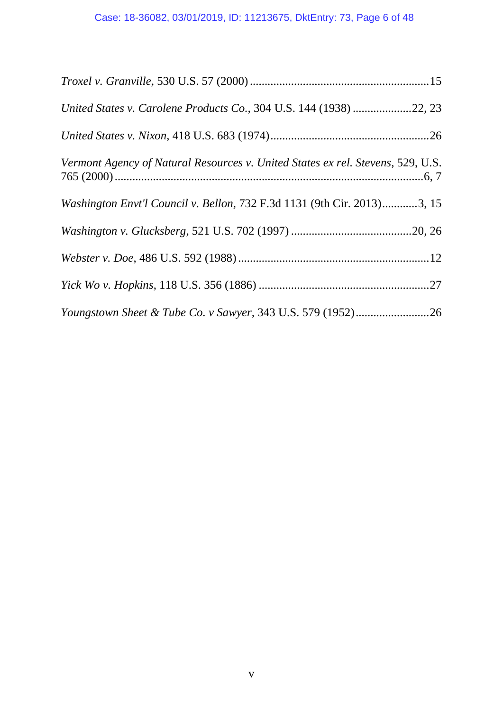| United States v. Carolene Products Co., 304 U.S. 144 (1938) 22, 23              |
|---------------------------------------------------------------------------------|
|                                                                                 |
| Vermont Agency of Natural Resources v. United States ex rel. Stevens, 529, U.S. |
| Washington Envt'l Council v. Bellon, 732 F.3d 1131 (9th Cir. 2013)3, 15         |
|                                                                                 |
|                                                                                 |
|                                                                                 |
|                                                                                 |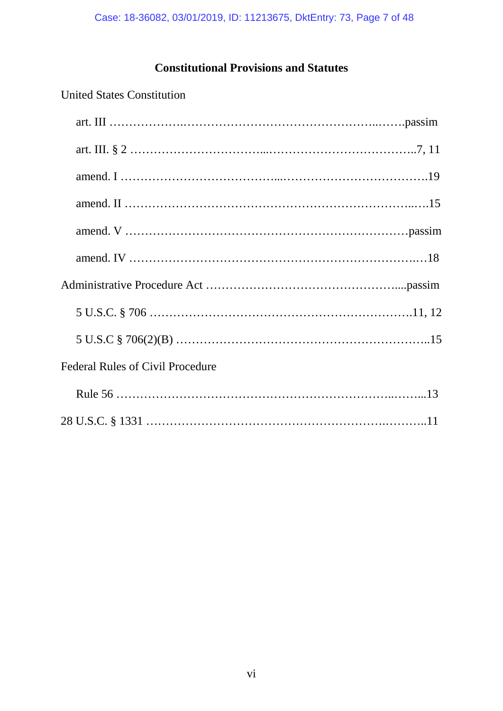# **Constitutional Provisions and Statutes**

# United States Constitution

| <b>Federal Rules of Civil Procedure</b> |  |
|-----------------------------------------|--|
|                                         |  |
|                                         |  |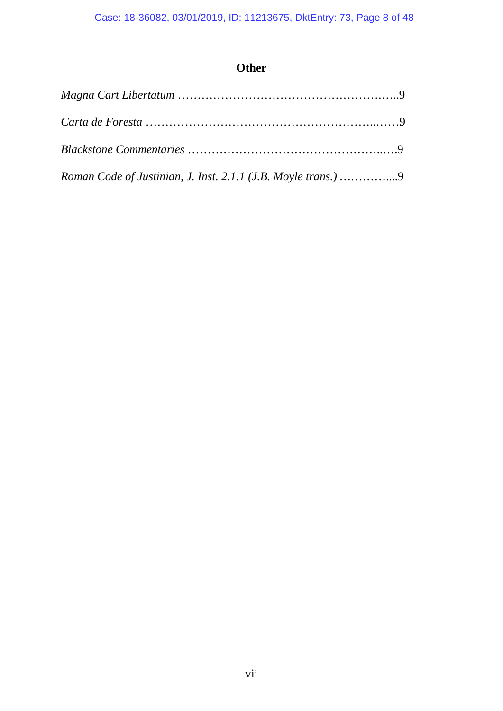# **Other**

| Roman Code of Justinian, J. Inst. 2.1.1 (J.B. Moyle trans.) 9 |  |
|---------------------------------------------------------------|--|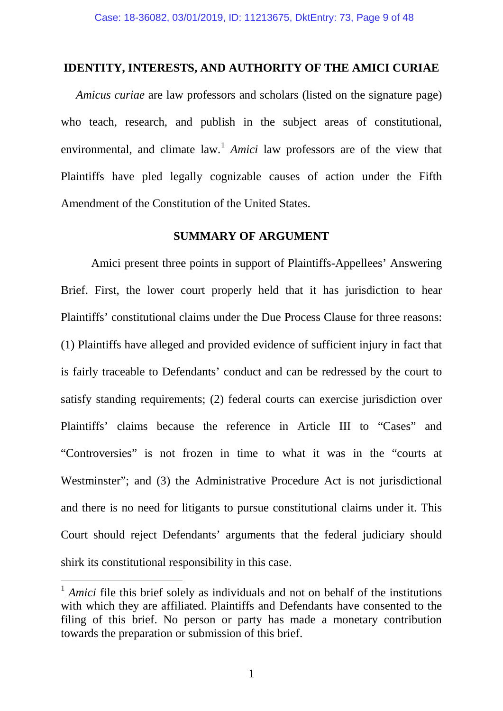#### **IDENTITY, INTERESTS, AND AUTHORITY OF THE AMICI CURIAE**

*Amicus curiae* are law professors and scholars (listed on the signature page) who teach, research, and publish in the subject areas of constitutional, environmental, and climate law.<sup>[1](#page-8-0)</sup> *Amici* law professors are of the view that Plaintiffs have pled legally cognizable causes of action under the Fifth Amendment of the Constitution of the United States.

### **SUMMARY OF ARGUMENT**

Amici present three points in support of Plaintiffs-Appellees' Answering Brief. First, the lower court properly held that it has jurisdiction to hear Plaintiffs' constitutional claims under the Due Process Clause for three reasons: (1) Plaintiffs have alleged and provided evidence of sufficient injury in fact that is fairly traceable to Defendants' conduct and can be redressed by the court to satisfy standing requirements; (2) federal courts can exercise jurisdiction over Plaintiffs' claims because the reference in Article III to "Cases" and "Controversies" is not frozen in time to what it was in the "courts at Westminster"; and (3) the Administrative Procedure Act is not jurisdictional and there is no need for litigants to pursue constitutional claims under it. This Court should reject Defendants' arguments that the federal judiciary should shirk its constitutional responsibility in this case.

<span id="page-8-0"></span><sup>&</sup>lt;sup>1</sup> *Amici* file this brief solely as individuals and not on behalf of the institutions with which they are affiliated. Plaintiffs and Defendants have consented to the filing of this brief. No person or party has made a monetary contribution towards the preparation or submission of this brief.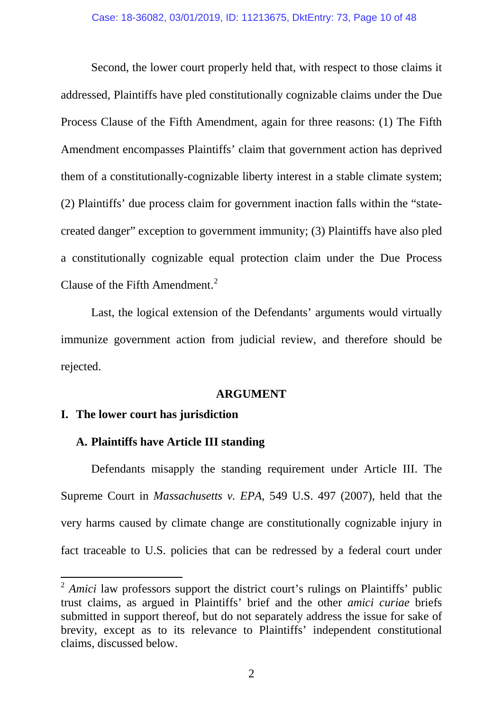Second, the lower court properly held that, with respect to those claims it addressed, Plaintiffs have pled constitutionally cognizable claims under the Due Process Clause of the Fifth Amendment, again for three reasons: (1) The Fifth Amendment encompasses Plaintiffs' claim that government action has deprived them of a constitutionally-cognizable liberty interest in a stable climate system; (2) Plaintiffs' due process claim for government inaction falls within the "statecreated danger" exception to government immunity; (3) Plaintiffs have also pled a constitutionally cognizable equal protection claim under the Due Process Clause of the Fifth Amendment. [2](#page-9-0)

Last, the logical extension of the Defendants' arguments would virtually immunize government action from judicial review, and therefore should be rejected.

#### **ARGUMENT**

#### **I. The lower court has jurisdiction**

### **A. Plaintiffs have Article III standing**

Defendants misapply the standing requirement under Article III. The Supreme Court in *Massachusetts v. EPA,* 549 U.S. 497 (2007), held that the very harms caused by climate change are constitutionally cognizable injury in fact traceable to U.S. policies that can be redressed by a federal court under

<span id="page-9-0"></span><sup>&</sup>lt;sup>2</sup> *Amici* law professors support the district court's rulings on Plaintiffs' public trust claims, as argued in Plaintiffs' brief and the other *amici curiae* briefs submitted in support thereof, but do not separately address the issue for sake of brevity, except as to its relevance to Plaintiffs' independent constitutional claims, discussed below.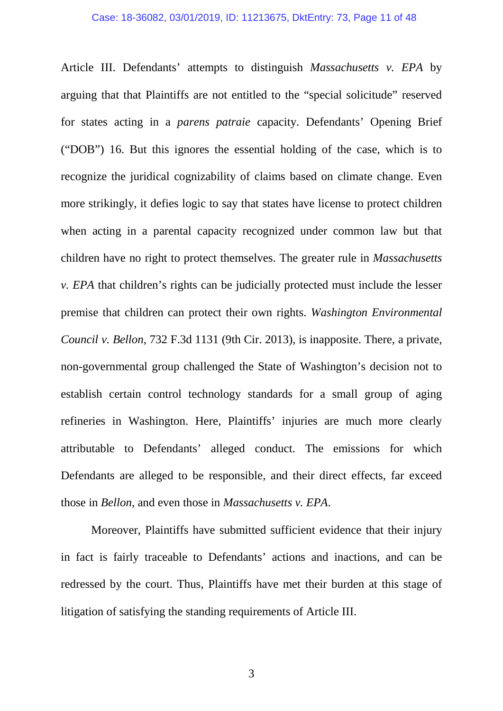#### Case: 18-36082, 03/01/2019, ID: 11213675, DktEntry: 73, Page 11 of 48

Article III. Defendants' attempts to distinguish *Massachusetts v. EPA* by arguing that that Plaintiffs are not entitled to the "special solicitude" reserved for states acting in a *parens patraie* capacity. Defendants' Opening Brief ("DOB") 16. But this ignores the essential holding of the case, which is to recognize the juridical cognizability of claims based on climate change. Even more strikingly, it defies logic to say that states have license to protect children when acting in a parental capacity recognized under common law but that children have no right to protect themselves. The greater rule in *Massachusetts v. EPA* that children's rights can be judicially protected must include the lesser premise that children can protect their own rights. *Washington Environmental Council v. Bellon,* 732 F.3d 1131 (9th Cir. 2013), is inapposite. There, a private, non-governmental group challenged the State of Washington's decision not to establish certain control technology standards for a small group of aging refineries in Washington. Here, Plaintiffs' injuries are much more clearly attributable to Defendants' alleged conduct. The emissions for which Defendants are alleged to be responsible, and their direct effects, far exceed those in *Bellon*, and even those in *Massachusetts v. EPA*.

Moreover, Plaintiffs have submitted sufficient evidence that their injury in fact is fairly traceable to Defendants' actions and inactions, and can be redressed by the court. Thus, Plaintiffs have met their burden at this stage of litigation of satisfying the standing requirements of Article III.

3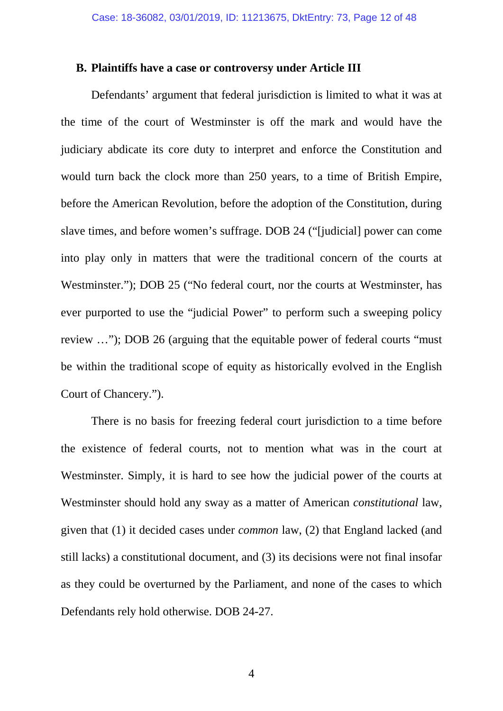#### **B. Plaintiffs have a case or controversy under Article III**

Defendants' argument that federal jurisdiction is limited to what it was at the time of the court of Westminster is off the mark and would have the judiciary abdicate its core duty to interpret and enforce the Constitution and would turn back the clock more than 250 years, to a time of British Empire, before the American Revolution, before the adoption of the Constitution, during slave times, and before women's suffrage. DOB 24 ("[judicial] power can come into play only in matters that were the traditional concern of the courts at Westminster."); DOB 25 ("No federal court, nor the courts at Westminster, has ever purported to use the "judicial Power" to perform such a sweeping policy review …"); DOB 26 (arguing that the equitable power of federal courts "must be within the traditional scope of equity as historically evolved in the English Court of Chancery.").

There is no basis for freezing federal court jurisdiction to a time before the existence of federal courts, not to mention what was in the court at Westminster. Simply, it is hard to see how the judicial power of the courts at Westminster should hold any sway as a matter of American *constitutional* law, given that (1) it decided cases under *common* law, (2) that England lacked (and still lacks) a constitutional document, and (3) its decisions were not final insofar as they could be overturned by the Parliament, and none of the cases to which Defendants rely hold otherwise. DOB 24-27.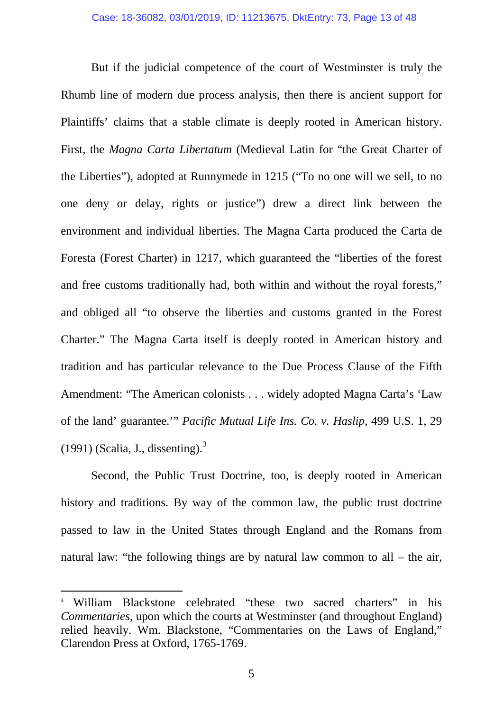But if the judicial competence of the court of Westminster is truly the Rhumb line of modern due process analysis, then there is ancient support for Plaintiffs' claims that a stable climate is deeply rooted in American history. First, the *Magna Carta Libertatum* (Medieval Latin for "the Great Charter of the Liberties"), adopted at Runnymede in 1215 ("To no one will we sell, to no one deny or delay, rights or justice") drew a direct link between the environment and individual liberties. The Magna Carta produced the Carta de Foresta (Forest Charter) in 1217, which guaranteed the "liberties of the forest and free customs traditionally had, both within and without the royal forests," and obliged all "to observe the liberties and customs granted in the Forest Charter." The Magna Carta itself is deeply rooted in American history and tradition and has particular relevance to the Due Process Clause of the Fifth Amendment: "The American colonists . . . widely adopted Magna Carta's 'Law of the land' guarantee.'" *Pacific Mutual Life Ins. Co. v. Haslip*, 499 U.S. 1, 29  $(1991)$  (Scalia, J., dissenting).<sup>[3](#page-12-0)</sup>

Second, the Public Trust Doctrine, too, is deeply rooted in American history and traditions. By way of the common law, the public trust doctrine passed to law in the United States through England and the Romans from natural law: "the following things are by natural law common to all – the air,

<span id="page-12-0"></span><sup>&</sup>lt;sup>3</sup> William Blackstone celebrated "these two sacred charters" in his *Commentaries*, upon which the courts at Westminster (and throughout England) relied heavily. Wm. Blackstone, "Commentaries on the Laws of England," Clarendon Press at Oxford, 1765-1769.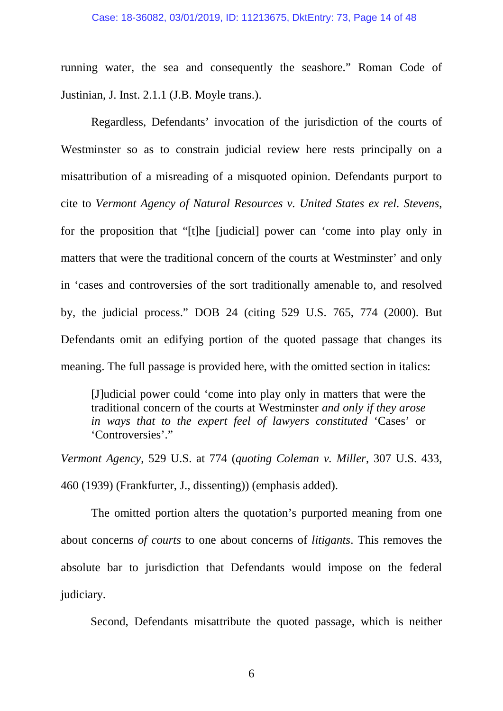running water, the sea and consequently the seashore." Roman Code of Justinian, J. Inst. 2.1.1 (J.B. Moyle trans.).

Regardless, Defendants' invocation of the jurisdiction of the courts of Westminster so as to constrain judicial review here rests principally on a misattribution of a misreading of a misquoted opinion. Defendants purport to cite to *Vermont Agency of Natural Resources v. United States ex rel. Stevens*, for the proposition that "[t]he [judicial] power can 'come into play only in matters that were the traditional concern of the courts at Westminster' and only in 'cases and controversies of the sort traditionally amenable to, and resolved by, the judicial process." DOB 24 (citing 529 U.S. 765, 774 (2000). But Defendants omit an edifying portion of the quoted passage that changes its meaning. The full passage is provided here, with the omitted section in italics:

[J]udicial power could 'come into play only in matters that were the traditional concern of the courts at Westminster *and only if they arose in ways that to the expert feel of lawyers constituted* 'Cases' or 'Controversies'."

*Vermont Agency*, 529 U.S. at 774 (*quoting Coleman v. Miller*, 307 U.S. 433, 460 (1939) (Frankfurter, J., dissenting)) (emphasis added).

The omitted portion alters the quotation's purported meaning from one about concerns *of courts* to one about concerns of *litigants*. This removes the absolute bar to jurisdiction that Defendants would impose on the federal judiciary.

Second, Defendants misattribute the quoted passage, which is neither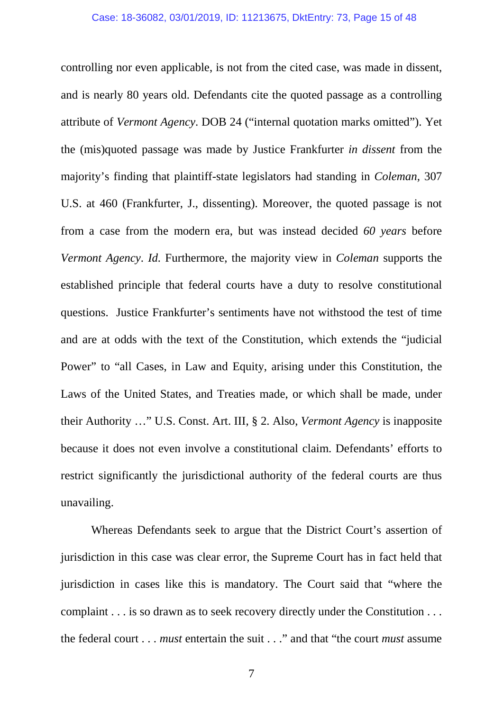controlling nor even applicable, is not from the cited case, was made in dissent, and is nearly 80 years old. Defendants cite the quoted passage as a controlling attribute of *Vermont Agency*. DOB 24 ("internal quotation marks omitted"). Yet the (mis)quoted passage was made by Justice Frankfurter *in dissent* from the majority's finding that plaintiff-state legislators had standing in *Coleman,* 307 U.S. at 460 (Frankfurter, J., dissenting). Moreover, the quoted passage is not from a case from the modern era, but was instead decided *60 years* before *Vermont Agency*. *Id.* Furthermore, the majority view in *Coleman* supports the established principle that federal courts have a duty to resolve constitutional questions. Justice Frankfurter's sentiments have not withstood the test of time and are at odds with the text of the Constitution, which extends the "judicial Power" to "all Cases, in Law and Equity, arising under this Constitution, the Laws of the United States, and Treaties made, or which shall be made, under their Authority …" U.S. Const. Art. III, § 2. Also, *Vermont Agency* is inapposite because it does not even involve a constitutional claim. Defendants' efforts to restrict significantly the jurisdictional authority of the federal courts are thus unavailing.

Whereas Defendants seek to argue that the District Court's assertion of jurisdiction in this case was clear error, the Supreme Court has in fact held that jurisdiction in cases like this is mandatory. The Court said that "where the complaint . . . is so drawn as to seek recovery directly under the Constitution . . . the federal court . . . *must* entertain the suit . . ." and that "the court *must* assume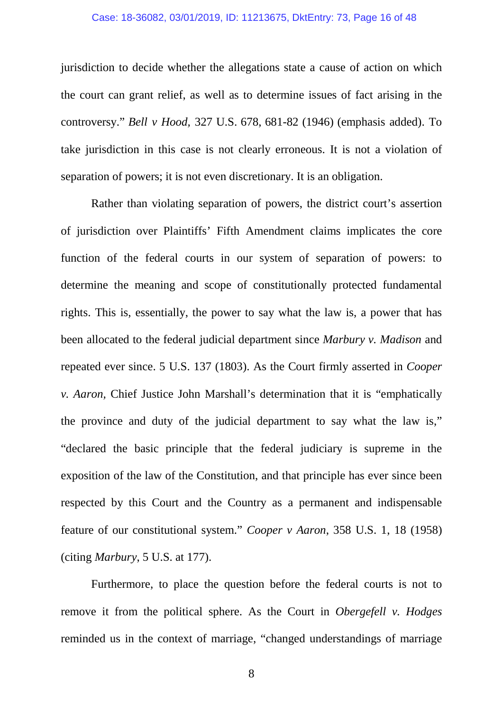#### Case: 18-36082, 03/01/2019, ID: 11213675, DktEntry: 73, Page 16 of 48

jurisdiction to decide whether the allegations state a cause of action on which the court can grant relief, as well as to determine issues of fact arising in the controversy." *Bell v Hood,* 327 U.S. 678, 681-82 (1946) (emphasis added). To take jurisdiction in this case is not clearly erroneous. It is not a violation of separation of powers; it is not even discretionary. It is an obligation.

Rather than violating separation of powers, the district court's assertion of jurisdiction over Plaintiffs' Fifth Amendment claims implicates the core function of the federal courts in our system of separation of powers: to determine the meaning and scope of constitutionally protected fundamental rights. This is, essentially, the power to say what the law is, a power that has been allocated to the federal judicial department since *Marbury v. Madison* and repeated ever since. 5 U.S. 137 (1803). As the Court firmly asserted in *Cooper v. Aaron,* Chief Justice John Marshall's determination that it is "emphatically the province and duty of the judicial department to say what the law is," "declared the basic principle that the federal judiciary is supreme in the exposition of the law of the Constitution, and that principle has ever since been respected by this Court and the Country as a permanent and indispensable feature of our constitutional system." *Cooper v Aaron*, 358 U.S. 1, 18 (1958) (citing *Marbury*, 5 U.S. at 177).

Furthermore, to place the question before the federal courts is not to remove it from the political sphere. As the Court in *Obergefell v. Hodges* reminded us in the context of marriage, "changed understandings of marriage

8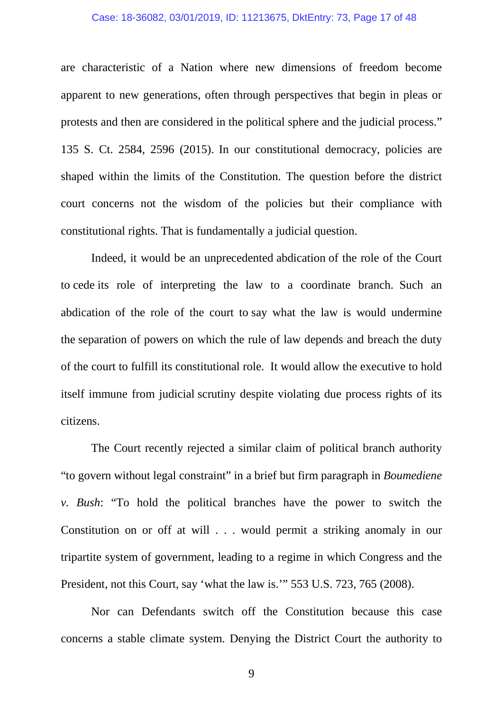#### Case: 18-36082, 03/01/2019, ID: 11213675, DktEntry: 73, Page 17 of 48

are characteristic of a Nation where new dimensions of freedom become apparent to new generations, often through perspectives that begin in pleas or protests and then are considered in the political sphere and the judicial process." 135 S. Ct. 2584, 2596 (2015). In our constitutional democracy, policies are shaped within the limits of the Constitution. The question before the district court concerns not the wisdom of the policies but their compliance with constitutional rights. That is fundamentally a judicial question.

Indeed, it would be an unprecedented abdication of the role of the Court to cede its role of interpreting the law to a coordinate branch. Such an abdication of the role of the court to say what the law is would undermine the separation of powers on which the rule of law depends and breach the duty of the court to fulfill its constitutional role. It would allow the executive to hold itself immune from judicial scrutiny despite violating due process rights of its citizens.

The Court recently rejected a similar claim of political branch authority "to govern without legal constraint" in a brief but firm paragraph in *Boumediene v. Bush*: "To hold the political branches have the power to switch the Constitution on or off at will . . . would permit a striking anomaly in our tripartite system of government, leading to a regime in which Congress and the President, not this Court, say 'what the law is.'" 553 U.S. 723, 765 (2008).

Nor can Defendants switch off the Constitution because this case concerns a stable climate system. Denying the District Court the authority to

9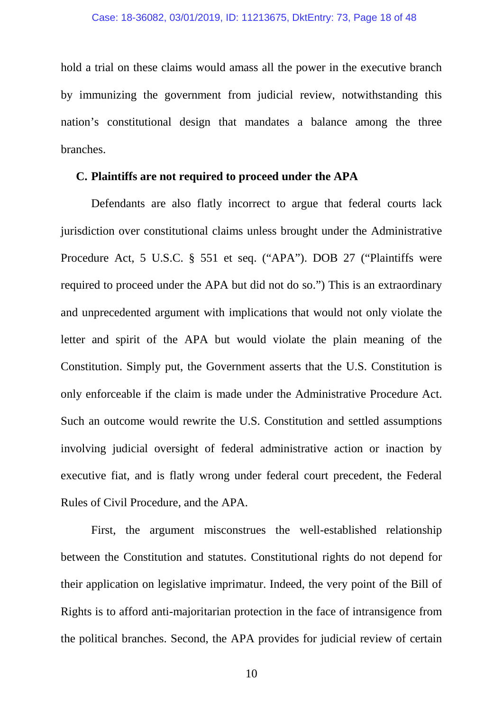hold a trial on these claims would amass all the power in the executive branch by immunizing the government from judicial review, notwithstanding this nation's constitutional design that mandates a balance among the three branches.

#### **C. Plaintiffs are not required to proceed under the APA**

Defendants are also flatly incorrect to argue that federal courts lack jurisdiction over constitutional claims unless brought under the Administrative Procedure Act, 5 U.S.C. § 551 et seq. ("APA"). DOB 27 ("Plaintiffs were required to proceed under the APA but did not do so.") This is an extraordinary and unprecedented argument with implications that would not only violate the letter and spirit of the APA but would violate the plain meaning of the Constitution. Simply put, the Government asserts that the U.S. Constitution is only enforceable if the claim is made under the Administrative Procedure Act. Such an outcome would rewrite the U.S. Constitution and settled assumptions involving judicial oversight of federal administrative action or inaction by executive fiat, and is flatly wrong under federal court precedent, the Federal Rules of Civil Procedure, and the APA.

First, the argument misconstrues the well-established relationship between the Constitution and statutes. Constitutional rights do not depend for their application on legislative imprimatur. Indeed, the very point of the Bill of Rights is to afford anti-majoritarian protection in the face of intransigence from the political branches. Second, the APA provides for judicial review of certain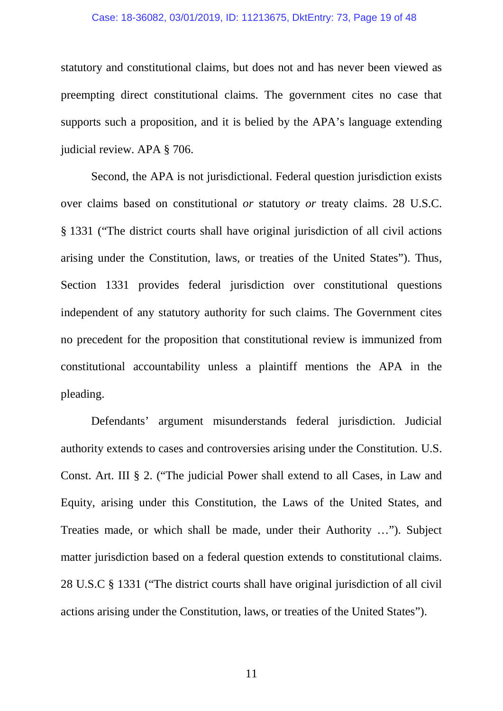#### Case: 18-36082, 03/01/2019, ID: 11213675, DktEntry: 73, Page 19 of 48

statutory and constitutional claims, but does not and has never been viewed as preempting direct constitutional claims. The government cites no case that supports such a proposition, and it is belied by the APA's language extending judicial review. APA § 706.

Second, the APA is not jurisdictional. Federal question jurisdiction exists over claims based on constitutional *or* statutory *or* treaty claims. 28 U.S.C. § 1331 ("The district courts shall have original jurisdiction of all civil actions arising under the Constitution, laws, or treaties of the United States"). Thus, Section 1331 provides federal jurisdiction over constitutional questions independent of any statutory authority for such claims. The Government cites no precedent for the proposition that constitutional review is immunized from constitutional accountability unless a plaintiff mentions the APA in the pleading.

Defendants' argument misunderstands federal jurisdiction. Judicial authority extends to cases and controversies arising under the Constitution. U.S. Const. Art. III § 2. ("The judicial Power shall extend to all Cases, in Law and Equity, arising under this Constitution, the Laws of the United States, and Treaties made, or which shall be made, under their Authority …"). Subject matter jurisdiction based on a federal question extends to constitutional claims. 28 U.S.C § 1331 ("The district courts shall have original jurisdiction of all civil actions arising under the Constitution, laws, or treaties of the United States").

11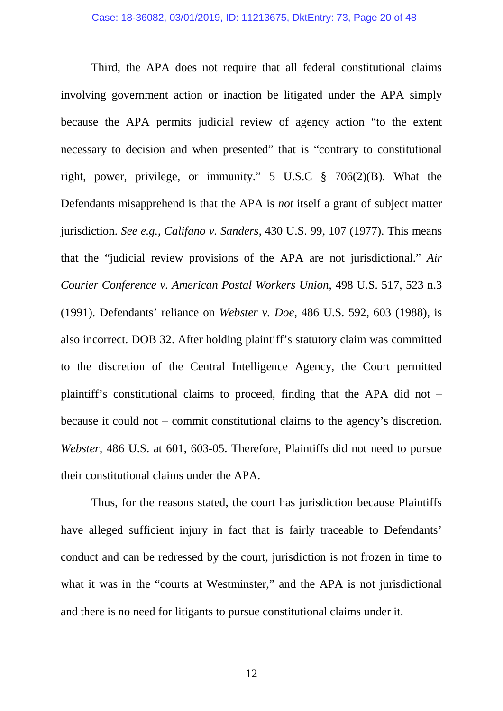Third, the APA does not require that all federal constitutional claims involving government action or inaction be litigated under the APA simply because the APA permits judicial review of agency action "to the extent necessary to decision and when presented" that is "contrary to constitutional right, power, privilege, or immunity." 5 U.S.C § 706(2)(B). What the Defendants misapprehend is that the APA is *not* itself a grant of subject matter jurisdiction. *See e.g.*, *Califano v. Sanders*, 430 U.S. 99, 107 (1977). This means that the "judicial review provisions of the APA are not jurisdictional." *Air Courier Conference v. American Postal Workers Union*, 498 U.S. 517, 523 n.3 (1991). Defendants' reliance on *Webster v. Doe*, 486 U.S. 592, 603 (1988), is also incorrect. DOB 32. After holding plaintiff's statutory claim was committed to the discretion of the Central Intelligence Agency, the Court permitted plaintiff's constitutional claims to proceed, finding that the APA did not – because it could not – commit constitutional claims to the agency's discretion. *Webster*, 486 U.S. at 601, 603-05. Therefore, Plaintiffs did not need to pursue their constitutional claims under the APA.

Thus, for the reasons stated, the court has jurisdiction because Plaintiffs have alleged sufficient injury in fact that is fairly traceable to Defendants' conduct and can be redressed by the court, jurisdiction is not frozen in time to what it was in the "courts at Westminster," and the APA is not jurisdictional and there is no need for litigants to pursue constitutional claims under it.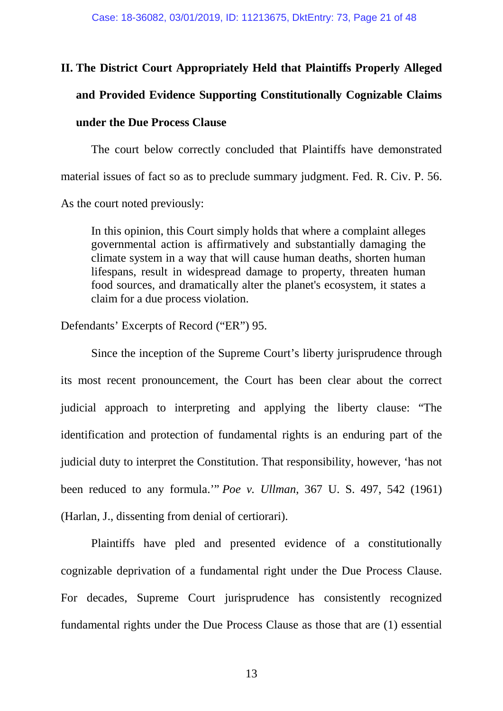# **II. The District Court Appropriately Held that Plaintiffs Properly Alleged**

## **and Provided Evidence Supporting Constitutionally Cognizable Claims**

### **under the Due Process Clause**

The court below correctly concluded that Plaintiffs have demonstrated material issues of fact so as to preclude summary judgment. Fed. R. Civ. P. 56. As the court noted previously:

In this opinion, this Court simply holds that where a complaint alleges governmental action is affirmatively and substantially damaging the climate system in a way that will cause human deaths, shorten human lifespans, result in widespread damage to property, threaten human food sources, and dramatically alter the planet's ecosystem, it states a claim for a due process violation.

Defendants' Excerpts of Record ("ER") 95.

Since the inception of the Supreme Court's liberty jurisprudence through its most recent pronouncement, the Court has been clear about the correct judicial approach to interpreting and applying the liberty clause: "The identification and protection of fundamental rights is an enduring part of the judicial duty to interpret the Constitution. That responsibility, however, 'has not been reduced to any formula.'" *Poe v. Ullman*, 367 U. S. 497, 542 (1961) (Harlan, J., dissenting from denial of certiorari).

Plaintiffs have pled and presented evidence of a constitutionally cognizable deprivation of a fundamental right under the Due Process Clause. For decades, Supreme Court jurisprudence has consistently recognized fundamental rights under the Due Process Clause as those that are (1) essential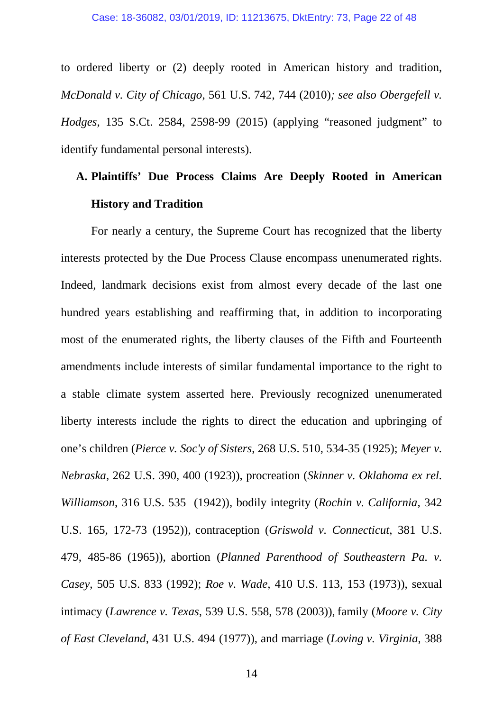to ordered liberty or (2) deeply rooted in American history and tradition, *McDonald v. City of Chicago*, 561 U.S. 742, 744 (2010)*; see also Obergefell v. Hodges*, 135 S.Ct. 2584, 2598-99 (2015) (applying "reasoned judgment" to identify fundamental personal interests).

# **A. Plaintiffs' Due Process Claims Are Deeply Rooted in American History and Tradition**

For nearly a century, the Supreme Court has recognized that the liberty interests protected by the Due Process Clause encompass unenumerated rights. Indeed, landmark decisions exist from almost every decade of the last one hundred years establishing and reaffirming that, in addition to incorporating most of the enumerated rights, the liberty clauses of the Fifth and Fourteenth amendments include interests of similar fundamental importance to the right to a stable climate system asserted here. Previously recognized unenumerated liberty interests include the rights to direct the education and upbringing of one's children (*Pierce v. Soc'y of Sisters*, 268 U.S. 510, 534-35 (1925); *Meyer v. Nebraska*, 262 U.S. 390, 400 (1923)), procreation (*Skinner v. Oklahoma ex rel. Williamson*, 316 U.S. 535 (1942)), bodily integrity (*Rochin v. California*, 342 U.S. 165, 172-73 (1952)), contraception (*Griswold v. Connecticut*, 381 U.S. 479, 485-86 (1965)), abortion (*Planned Parenthood of Southeastern Pa. v. Casey*, 505 U.S. 833 (1992); *Roe v. Wade,* 410 U.S. 113, 153 (1973)), sexual intimacy (*Lawrence v. Texas*, 539 U.S. 558, 578 (2003)), family (*Moore v. City of East Cleveland*, 431 U.S. 494 (1977)), and marriage (*Loving v. Virginia*, 388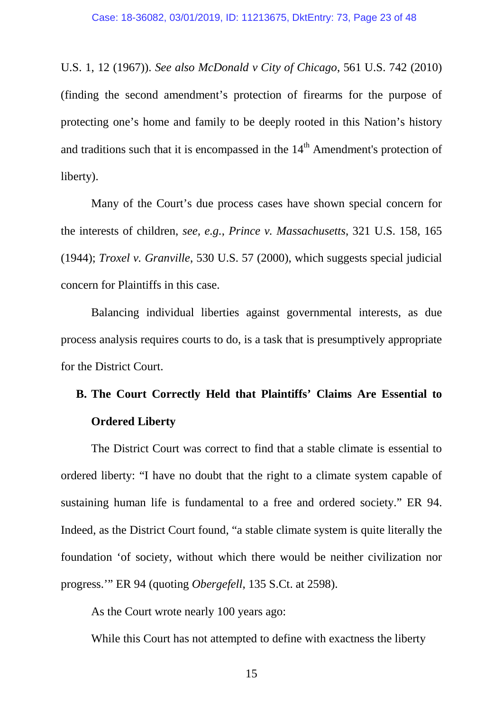U.S. 1, 12 (1967)). *See also McDonald v City of Chicago*, 561 U.S. 742 (2010) (finding the second amendment's protection of firearms for the purpose of protecting one's home and family to be deeply rooted in this Nation's history and traditions such that it is encompassed in the  $14<sup>th</sup>$  Amendment's protection of liberty).

Many of the Court's due process cases have shown special concern for the interests of children, *see, e.g.*, *Prince v. Massachusetts*, 321 U.S. 158, 165 (1944); *Troxel v. Granville*, 530 U.S. 57 (2000), which suggests special judicial concern for Plaintiffs in this case.

Balancing individual liberties against governmental interests, as due process analysis requires courts to do, is a task that is presumptively appropriate for the District Court.

# **B. The Court Correctly Held that Plaintiffs' Claims Are Essential to Ordered Liberty**

The District Court was correct to find that a stable climate is essential to ordered liberty: "I have no doubt that the right to a climate system capable of sustaining human life is fundamental to a free and ordered society." ER 94. Indeed, as the District Court found, "a stable climate system is quite literally the foundation 'of society, without which there would be neither civilization nor progress.'" ER 94 (quoting *Obergefell*, 135 S.Ct. at 2598).

As the Court wrote nearly 100 years ago:

While this Court has not attempted to define with exactness the liberty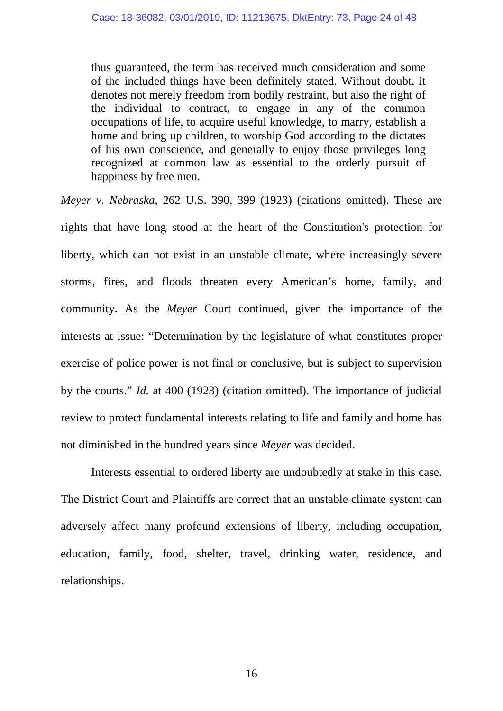thus guaranteed, the term has received much consideration and some of the included things have been definitely stated. Without doubt, it denotes not merely freedom from bodily restraint, but also the right of the individual to contract, to engage in any of the common occupations of life, to acquire useful knowledge, to marry, establish a home and bring up children, to worship God according to the dictates of his own conscience, and generally to enjoy those privileges long recognized at common law as essential to the orderly pursuit of happiness by free men.

*Meyer v. Nebraska*, 262 U.S. 390, 399 (1923) (citations omitted). These are rights that have long stood at the heart of the Constitution's protection for liberty, which can not exist in an unstable climate, where increasingly severe storms, fires, and floods threaten every American's home, family, and community. As the *Meyer* Court continued, given the importance of the interests at issue: "Determination by the legislature of what constitutes proper exercise of police power is not final or conclusive, but is subject to supervision by the courts." *Id.* at 400 (1923) (citation omitted). The importance of judicial review to protect fundamental interests relating to life and family and home has not diminished in the hundred years since *Meyer* was decided.

Interests essential to ordered liberty are undoubtedly at stake in this case. The District Court and Plaintiffs are correct that an unstable climate system can adversely affect many profound extensions of liberty, including occupation, education, family, food, shelter, travel, drinking water, residence, and relationships.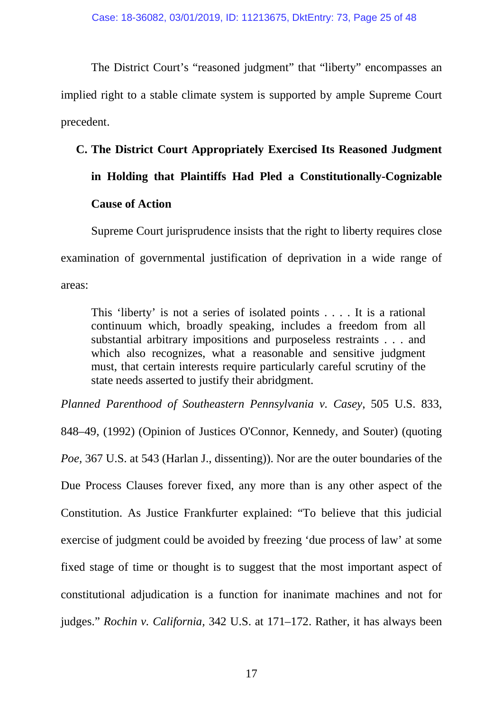The District Court's "reasoned judgment" that "liberty" encompasses an implied right to a stable climate system is supported by ample Supreme Court precedent.

# **C. The District Court Appropriately Exercised Its Reasoned Judgment**

# **in Holding that Plaintiffs Had Pled a Constitutionally-Cognizable Cause of Action**

Supreme Court jurisprudence insists that the right to liberty requires close examination of governmental justification of deprivation in a wide range of areas:

This 'liberty' is not a series of isolated points . . . . It is a rational continuum which, broadly speaking, includes a freedom from all substantial arbitrary impositions and purposeless restraints . . . and which also recognizes, what a reasonable and sensitive judgment must, that certain interests require particularly careful scrutiny of the state needs asserted to justify their abridgment.

*Planned Parenthood of Southeastern Pennsylvania v. Casey*, 505 U.S. 833,

848–49, (1992) (Opinion of Justices O'Connor, Kennedy, and Souter) (quoting *Poe,* 367 U.S. at 543 (Harlan J., dissenting)). Nor are the outer boundaries of the Due Process Clauses forever fixed, any more than is any other aspect of the Constitution. As Justice Frankfurter explained: "To believe that this judicial exercise of judgment could be avoided by freezing 'due process of law' at some fixed stage of time or thought is to suggest that the most important aspect of constitutional adjudication is a function for inanimate machines and not for judges." *Rochin v. California,* 342 U.S. at 171–172. Rather, it has always been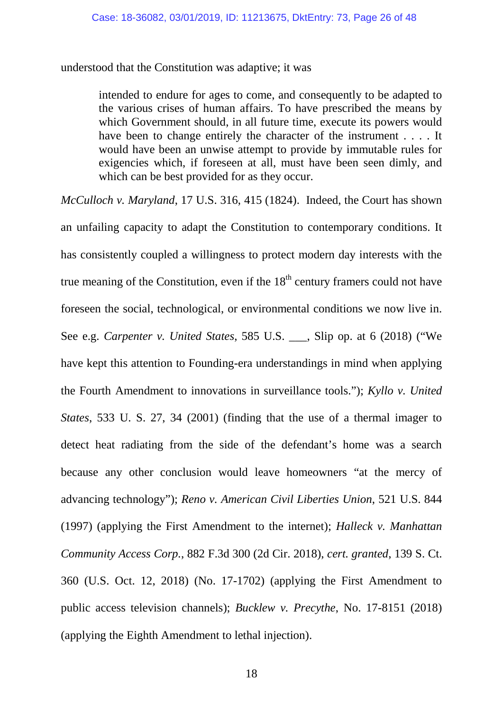understood that the Constitution was adaptive; it was

intended to endure for ages to come, and consequently to be adapted to the various crises of human affairs. To have prescribed the means by which Government should, in all future time, execute its powers would have been to change entirely the character of the instrument . . . . It would have been an unwise attempt to provide by immutable rules for exigencies which, if foreseen at all, must have been seen dimly, and which can be best provided for as they occur.

*McCulloch v. Maryland*, 17 U.S. 316, 415 (1824). Indeed, the Court has shown an unfailing capacity to adapt the Constitution to contemporary conditions. It has consistently coupled a willingness to protect modern day interests with the true meaning of the Constitution, even if the  $18<sup>th</sup>$  century framers could not have foreseen the social, technological, or environmental conditions we now live in. See e.g. *Carpenter v. United States*, 585 U.S. \_\_\_, Slip op. at 6 (2018) ("We have kept this attention to Founding-era understandings in mind when applying the Fourth Amendment to innovations in surveillance tools."); *Kyllo v. United States*, 533 U. S. 27, 34 (2001) (finding that the use of a thermal imager to detect heat radiating from the side of the defendant's home was a search because any other conclusion would leave homeowners "at the mercy of advancing technology"); *Reno v. American Civil Liberties Union*, 521 U.S. 844 (1997) (applying the First Amendment to the internet); *Halleck v. Manhattan Community Access Corp.*, 882 F.3d 300 (2d Cir. 2018), *cert. granted*, 139 S. Ct. 360 (U.S. Oct. 12, 2018) (No. 17-1702) (applying the First Amendment to public access television channels); *Bucklew v. Precythe*, No. 17-8151 (2018) (applying the Eighth Amendment to lethal injection).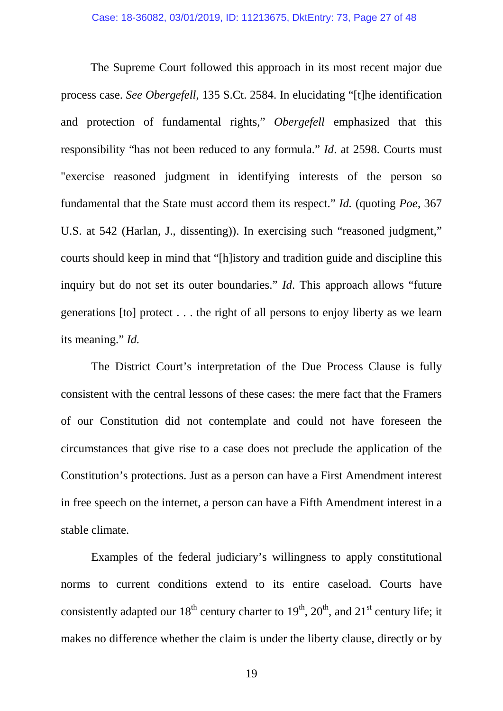The Supreme Court followed this approach in its most recent major due process case. *See Obergefell*, 135 S.Ct. 2584. In elucidating "[t]he identification and protection of fundamental rights," *Obergefell* emphasized that this responsibility "has not been reduced to any formula." *Id*. at 2598. Courts must "exercise reasoned judgment in identifying interests of the person so fundamental that the State must accord them its respect." *Id.* (quoting *Poe*, 367 U.S. at 542 (Harlan, J., dissenting)). In exercising such "reasoned judgment," courts should keep in mind that "[h]istory and tradition guide and discipline this inquiry but do not set its outer boundaries." *Id*. This approach allows "future generations [to] protect . . . the right of all persons to enjoy liberty as we learn its meaning." *Id.*

The District Court's interpretation of the Due Process Clause is fully consistent with the central lessons of these cases: the mere fact that the Framers of our Constitution did not contemplate and could not have foreseen the circumstances that give rise to a case does not preclude the application of the Constitution's protections. Just as a person can have a First Amendment interest in free speech on the internet, a person can have a Fifth Amendment interest in a stable climate.

Examples of the federal judiciary's willingness to apply constitutional norms to current conditions extend to its entire caseload. Courts have consistently adapted our  $18^{th}$  century charter to  $19^{th}$ ,  $20^{th}$ , and  $21^{st}$  century life; it makes no difference whether the claim is under the liberty clause, directly or by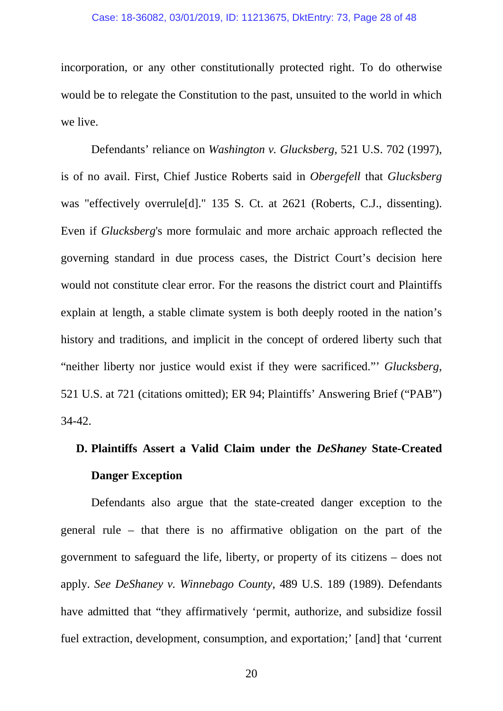incorporation, or any other constitutionally protected right. To do otherwise would be to relegate the Constitution to the past, unsuited to the world in which we live.

Defendants' reliance on *Washington v. Glucksberg,* 521 U.S. 702 (1997), is of no avail. First, Chief Justice Roberts said in *Obergefell* that *Glucksberg*  was "effectively overrule[d]." 135 S. Ct. at 2621 (Roberts, C.J., dissenting). Even if *Glucksberg*'s more formulaic and more archaic approach reflected the governing standard in due process cases, the District Court's decision here would not constitute clear error. For the reasons the district court and Plaintiffs explain at length, a stable climate system is both deeply rooted in the nation's history and traditions, and implicit in the concept of ordered liberty such that "neither liberty nor justice would exist if they were sacrificed."' *Glucksberg*, 521 U.S. at 721 (citations omitted); ER 94; Plaintiffs' Answering Brief ("PAB") 34-42.

# **D. Plaintiffs Assert a Valid Claim under the** *DeShaney* **State-Created Danger Exception**

Defendants also argue that the state-created danger exception to the general rule – that there is no affirmative obligation on the part of the government to safeguard the life, liberty, or property of its citizens – does not apply. *See DeShaney v. Winnebago County*, 489 U.S. 189 (1989). Defendants have admitted that "they affirmatively 'permit, authorize, and subsidize fossil fuel extraction, development, consumption, and exportation;' [and] that 'current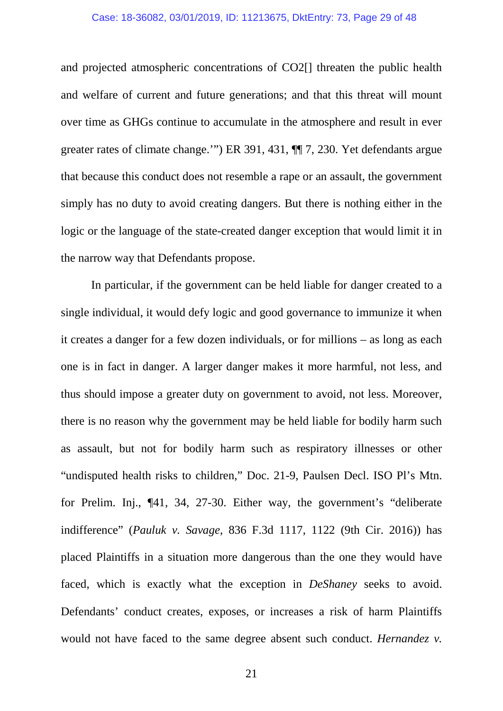#### Case: 18-36082, 03/01/2019, ID: 11213675, DktEntry: 73, Page 29 of 48

and projected atmospheric concentrations of CO2[] threaten the public health and welfare of current and future generations; and that this threat will mount over time as GHGs continue to accumulate in the atmosphere and result in ever greater rates of climate change.'") ER 391, 431, ¶¶ 7, 230. Yet defendants argue that because this conduct does not resemble a rape or an assault, the government simply has no duty to avoid creating dangers. But there is nothing either in the logic or the language of the state-created danger exception that would limit it in the narrow way that Defendants propose.

In particular, if the government can be held liable for danger created to a single individual, it would defy logic and good governance to immunize it when it creates a danger for a few dozen individuals, or for millions – as long as each one is in fact in danger. A larger danger makes it more harmful, not less, and thus should impose a greater duty on government to avoid, not less. Moreover, there is no reason why the government may be held liable for bodily harm such as assault, but not for bodily harm such as respiratory illnesses or other "undisputed health risks to children," Doc. 21-9, Paulsen Decl. ISO Pl's Mtn. for Prelim. Inj., ¶41, 34, 27-30. Either way, the government's "deliberate indifference" (*Pauluk v. Savage*, 836 F.3d 1117, 1122 (9th Cir. 2016)) has placed Plaintiffs in a situation more dangerous than the one they would have faced, which is exactly what the exception in *DeShaney* seeks to avoid. Defendants' conduct creates, exposes, or increases a risk of harm Plaintiffs would not have faced to the same degree absent such conduct. *Hernandez v.* 

21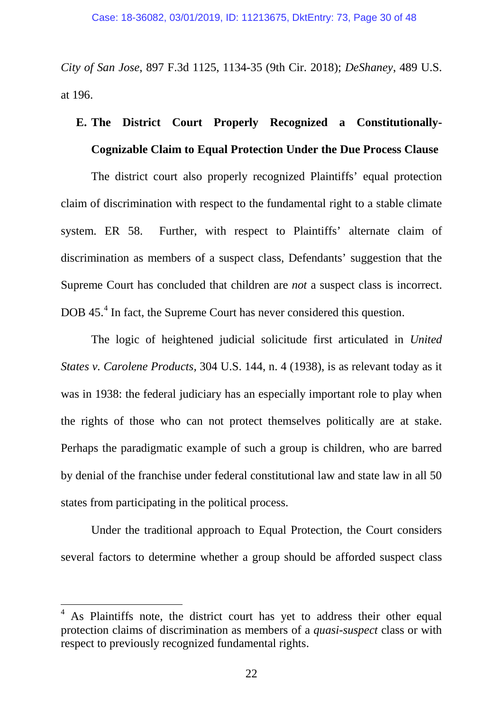*City of San Jose*, 897 F.3d 1125, 1134-35 (9th Cir. 2018); *DeShaney*, 489 U.S. at 196.

# **E. The District Court Properly Recognized a Constitutionally-Cognizable Claim to Equal Protection Under the Due Process Clause**

The district court also properly recognized Plaintiffs' equal protection claim of discrimination with respect to the fundamental right to a stable climate system. ER 58. Further, with respect to Plaintiffs' alternate claim of discrimination as members of a suspect class, Defendants' suggestion that the Supreme Court has concluded that children are *not* a suspect class is incorrect. DOB [4](#page-29-0)5.<sup>4</sup> In fact, the Supreme Court has never considered this question.

The logic of heightened judicial solicitude first articulated in *United States v. Carolene Products,* 304 U.S. 144, n. 4 (1938), is as relevant today as it was in 1938: the federal judiciary has an especially important role to play when the rights of those who can not protect themselves politically are at stake. Perhaps the paradigmatic example of such a group is children, who are barred by denial of the franchise under federal constitutional law and state law in all 50 states from participating in the political process.

Under the traditional approach to Equal Protection, the Court considers several factors to determine whether a group should be afforded suspect class

<span id="page-29-0"></span><sup>4</sup> As Plaintiffs note, the district court has yet to address their other equal protection claims of discrimination as members of a *quasi-suspect* class or with respect to previously recognized fundamental rights.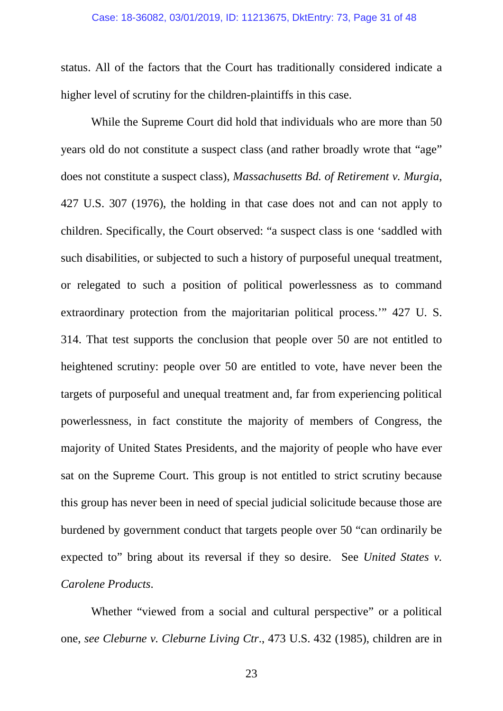status. All of the factors that the Court has traditionally considered indicate a higher level of scrutiny for the children-plaintiffs in this case.

While the Supreme Court did hold that individuals who are more than 50 years old do not constitute a suspect class (and rather broadly wrote that "age" does not constitute a suspect class), *Massachusetts Bd. of Retirement v. Murgia*, 427 U.S. 307 (1976), the holding in that case does not and can not apply to children. Specifically, the Court observed: "a suspect class is one 'saddled with such disabilities, or subjected to such a history of purposeful unequal treatment, or relegated to such a position of political powerlessness as to command extraordinary protection from the majoritarian political process.'" 427 U. S. 314. That test supports the conclusion that people over 50 are not entitled to heightened scrutiny: people over 50 are entitled to vote, have never been the targets of purposeful and unequal treatment and, far from experiencing political powerlessness, in fact constitute the majority of members of Congress, the majority of United States Presidents, and the majority of people who have ever sat on the Supreme Court. This group is not entitled to strict scrutiny because this group has never been in need of special judicial solicitude because those are burdened by government conduct that targets people over 50 "can ordinarily be expected to" bring about its reversal if they so desire. See *United States v. Carolene Products*.

Whether "viewed from a social and cultural perspective" or a political one, *see Cleburne v. Cleburne Living Ctr*., 473 U.S. 432 (1985), children are in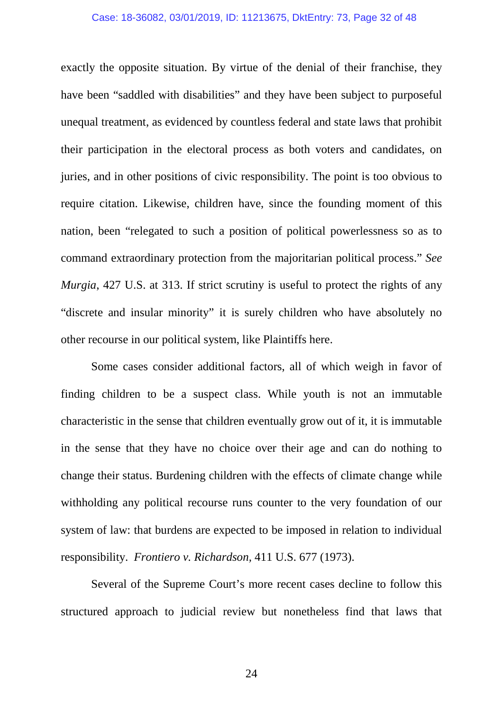#### Case: 18-36082, 03/01/2019, ID: 11213675, DktEntry: 73, Page 32 of 48

exactly the opposite situation. By virtue of the denial of their franchise, they have been "saddled with disabilities" and they have been subject to purposeful unequal treatment, as evidenced by countless federal and state laws that prohibit their participation in the electoral process as both voters and candidates, on juries, and in other positions of civic responsibility. The point is too obvious to require citation. Likewise, children have, since the founding moment of this nation, been "relegated to such a position of political powerlessness so as to command extraordinary protection from the majoritarian political process." *See Murgia*, 427 U.S. at 313. If strict scrutiny is useful to protect the rights of any "discrete and insular minority" it is surely children who have absolutely no other recourse in our political system, like Plaintiffs here.

Some cases consider additional factors, all of which weigh in favor of finding children to be a suspect class. While youth is not an immutable characteristic in the sense that children eventually grow out of it, it is immutable in the sense that they have no choice over their age and can do nothing to change their status. Burdening children with the effects of climate change while withholding any political recourse runs counter to the very foundation of our system of law: that burdens are expected to be imposed in relation to individual responsibility. *Frontiero v. Richardson,* 411 U.S. 677 (1973).

Several of the Supreme Court's more recent cases decline to follow this structured approach to judicial review but nonetheless find that laws that

24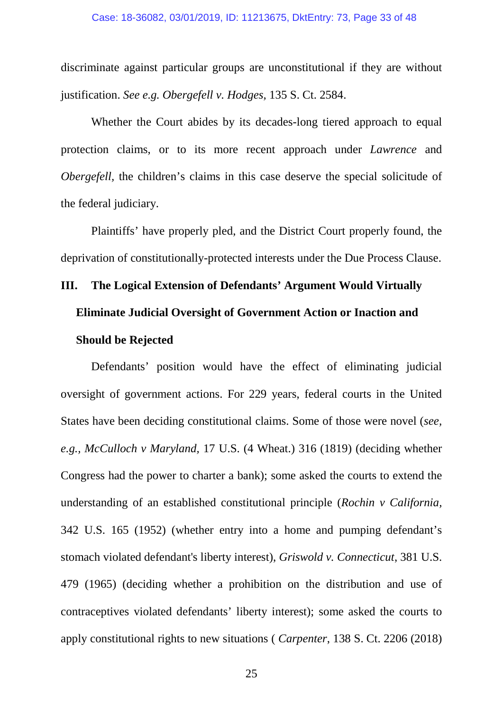#### Case: 18-36082, 03/01/2019, ID: 11213675, DktEntry: 73, Page 33 of 48

discriminate against particular groups are unconstitutional if they are without justification. *See e.g. Obergefell v. Hodges,* 135 S. Ct. 2584.

Whether the Court abides by its decades-long tiered approach to equal protection claims, or to its more recent approach under *Lawrence* and *Obergefell,* the children's claims in this case deserve the special solicitude of the federal judiciary.

Plaintiffs' have properly pled, and the District Court properly found, the deprivation of constitutionally-protected interests under the Due Process Clause.

# **III. The Logical Extension of Defendants' Argument Would Virtually Eliminate Judicial Oversight of Government Action or Inaction and Should be Rejected**

Defendants' position would have the effect of eliminating judicial oversight of government actions. For 229 years, federal courts in the United States have been deciding constitutional claims. Some of those were novel (*see, e.g., McCulloch v Maryland,* 17 U.S. (4 Wheat.) 316 (1819) (deciding whether Congress had the power to charter a bank); some asked the courts to extend the understanding of an established constitutional principle (*Rochin v California,*  342 U.S. 165 (1952) (whether entry into a home and pumping defendant's stomach violated defendant's liberty interest), *Griswold v. Connecticut*, 381 U.S. 479 (1965) (deciding whether a prohibition on the distribution and use of contraceptives violated defendants' liberty interest); some asked the courts to apply constitutional rights to new situations ( *Carpenter*, 138 S. Ct. 2206 (2018)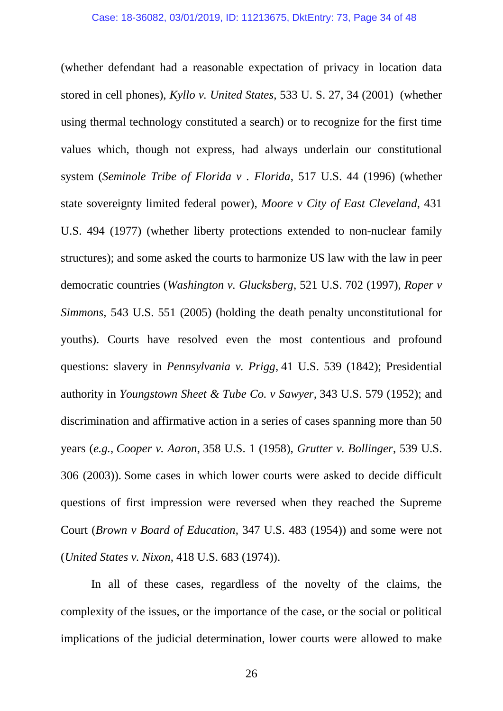(whether defendant had a reasonable expectation of privacy in location data stored in cell phones), *Kyllo v. United States*, 533 U. S. 27, 34 (2001) (whether using thermal technology constituted a search) or to recognize for the first time values which, though not express, had always underlain our constitutional system (*Seminole Tribe of Florida v . Florida*, 517 U.S. 44 (1996) (whether state sovereignty limited federal power), *Moore v City of East Cleveland*, 431 U.S. 494 (1977) (whether liberty protections extended to non-nuclear family structures); and some asked the courts to harmonize US law with the law in peer democratic countries (*Washington v. Glucksberg*, 521 U.S. 702 (1997), *Roper v Simmons*, 543 U.S. 551 (2005) (holding the death penalty unconstitutional for youths). Courts have resolved even the most contentious and profound questions: slavery in *Pennsylvania v. Prigg*, 41 U.S. 539 (1842); Presidential authority in *Youngstown Sheet & Tube Co. v Sawyer,* 343 U.S. 579 (1952); and discrimination and affirmative action in a series of cases spanning more than 50 years (*e.g.*, *Cooper v. Aaron*, 358 U.S. 1 (1958), *Grutter v. Bollinger*, 539 U.S. 306 (2003)). Some cases in which lower courts were asked to decide difficult questions of first impression were reversed when they reached the Supreme Court (*Brown v Board of Education*, 347 U.S. 483 (1954)) and some were not (*United States v. Nixon*, 418 U.S. 683 (1974)).

In all of these cases, regardless of the novelty of the claims, the complexity of the issues, or the importance of the case, or the social or political implications of the judicial determination, lower courts were allowed to make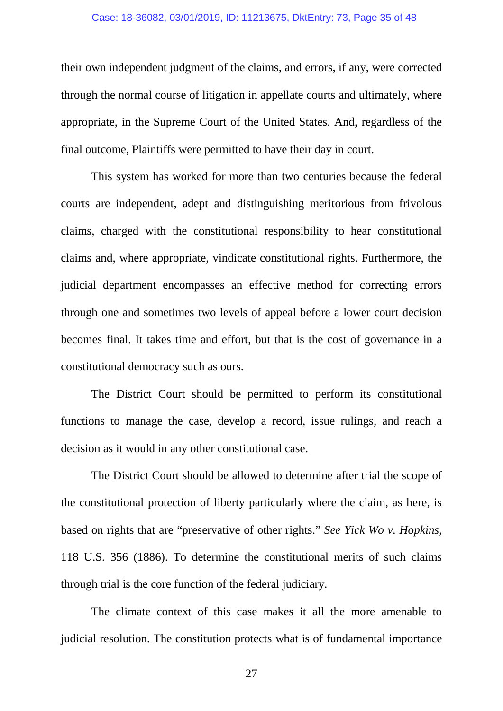#### Case: 18-36082, 03/01/2019, ID: 11213675, DktEntry: 73, Page 35 of 48

their own independent judgment of the claims, and errors, if any, were corrected through the normal course of litigation in appellate courts and ultimately, where appropriate, in the Supreme Court of the United States. And, regardless of the final outcome, Plaintiffs were permitted to have their day in court.

This system has worked for more than two centuries because the federal courts are independent, adept and distinguishing meritorious from frivolous claims, charged with the constitutional responsibility to hear constitutional claims and, where appropriate, vindicate constitutional rights. Furthermore, the judicial department encompasses an effective method for correcting errors through one and sometimes two levels of appeal before a lower court decision becomes final. It takes time and effort, but that is the cost of governance in a constitutional democracy such as ours.

The District Court should be permitted to perform its constitutional functions to manage the case, develop a record, issue rulings, and reach a decision as it would in any other constitutional case.

The District Court should be allowed to determine after trial the scope of the constitutional protection of liberty particularly where the claim, as here, is based on rights that are "preservative of other rights." *See Yick Wo v. Hopkins*, 118 U.S. 356 (1886). To determine the constitutional merits of such claims through trial is the core function of the federal judiciary.

The climate context of this case makes it all the more amenable to judicial resolution. The constitution protects what is of fundamental importance

27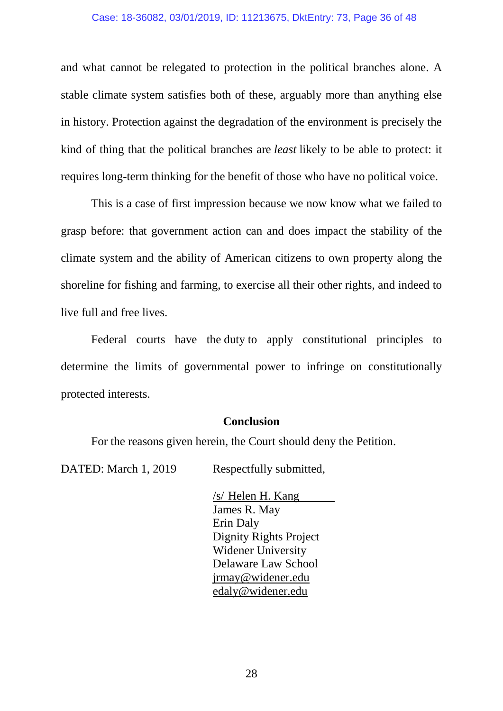and what cannot be relegated to protection in the political branches alone. A stable climate system satisfies both of these, arguably more than anything else in history. Protection against the degradation of the environment is precisely the kind of thing that the political branches are *least* likely to be able to protect: it requires long-term thinking for the benefit of those who have no political voice.

This is a case of first impression because we now know what we failed to grasp before: that government action can and does impact the stability of the climate system and the ability of American citizens to own property along the shoreline for fishing and farming, to exercise all their other rights, and indeed to live full and free lives.

Federal courts have the duty to apply constitutional principles to determine the limits of governmental power to infringe on constitutionally protected interests.

### **Conclusion**

For the reasons given herein, the Court should deny the Petition.

DATED: March 1, 2019 Respectfully submitted,

/s/ Helen H. Kang James R. May Erin Daly Dignity Rights Project Widener University Delaware Law School [jrmay@widener.edu](mailto:jrmay@widener.edu) [edaly@widener.edu](mailto:edaly@widener.edu)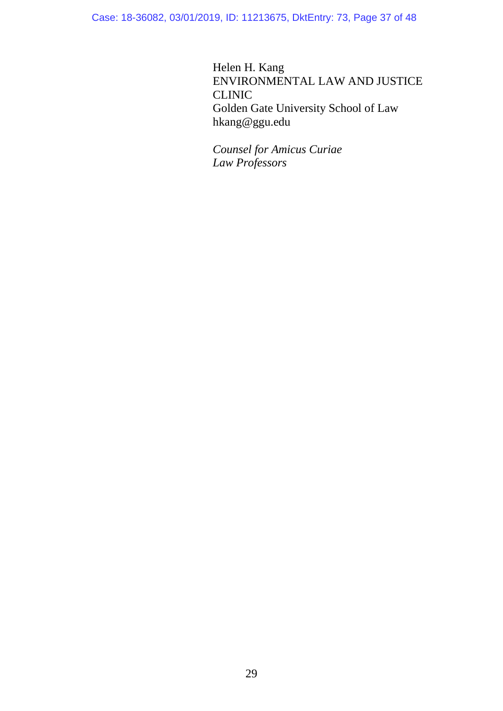Case: 18-36082, 03/01/2019, ID: 11213675, DktEntry: 73, Page 37 of 48

Helen H. Kang ENVIRONMENTAL LAW AND JUSTICE CLINIC Golden Gate University School of Law hkang@ggu.edu

*Counsel for Amicus Curiae Law Professors*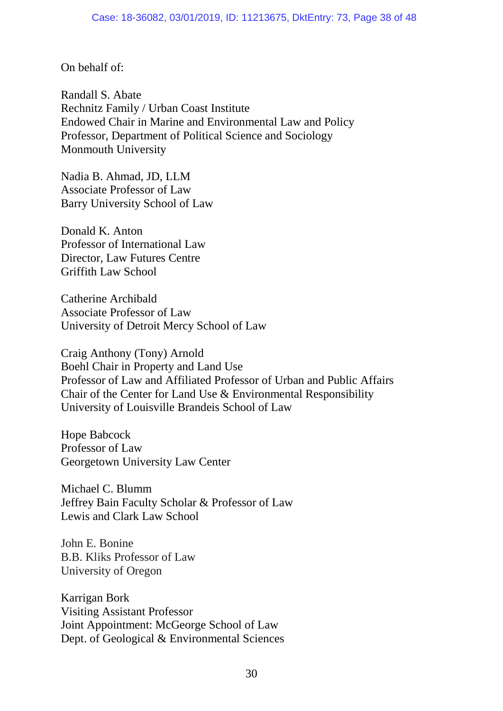On behalf of:

Randall S. Abate Rechnitz Family / Urban Coast Institute Endowed Chair in Marine and Environmental Law and Policy Professor, Department of Political Science and Sociology Monmouth University

Nadia B. Ahmad, JD, LLM Associate Professor of Law Barry University School of Law

Donald K. Anton Professor of International Law Director, Law Futures Centre Griffith Law School

Catherine Archibald Associate Professor of Law University of Detroit Mercy School of Law

Craig Anthony (Tony) Arnold Boehl Chair in Property and Land Use Professor of Law and Affiliated Professor of Urban and Public Affairs Chair of the Center for Land Use & Environmental Responsibility University of Louisville Brandeis School of Law

Hope Babcock Professor of Law Georgetown University Law Center

Michael C. Blumm Jeffrey Bain Faculty Scholar & Professor of Law Lewis and Clark Law School

John E. Bonine B.B. Kliks Professor of Law University of Oregon

Karrigan Bork Visiting Assistant Professor Joint Appointment: McGeorge School of Law Dept. of Geological & Environmental Sciences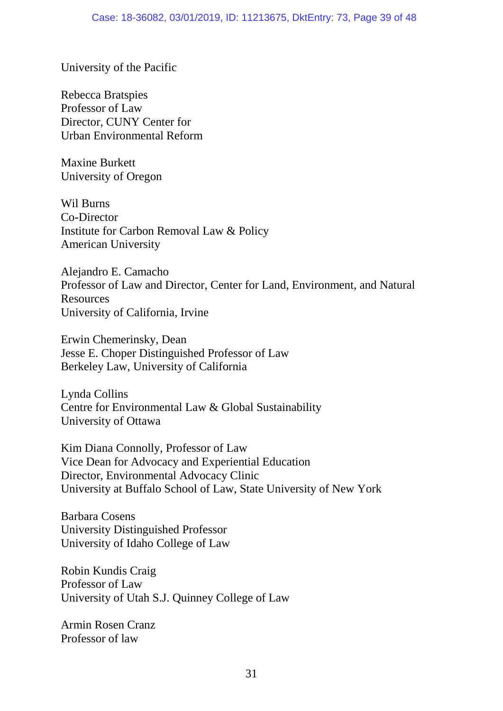University of the Pacific

Rebecca Bratspies Professor of Law Director, CUNY Center for Urban Environmental Reform

Maxine Burkett University of Oregon

Wil Burns Co-Director Institute for Carbon Removal Law & Policy American University

Alejandro E. Camacho Professor of Law and Director, Center for Land, Environment, and Natural **Resources** University of California, Irvine

Erwin Chemerinsky, Dean Jesse E. Choper Distinguished Professor of Law Berkeley Law, University of California

Lynda Collins Centre for Environmental Law & Global Sustainability University of Ottawa

Kim Diana Connolly, Professor of Law Vice Dean for Advocacy and Experiential Education Director, Environmental Advocacy Clinic University at Buffalo School of Law, State University of New York

Barbara Cosens University Distinguished Professor University of Idaho College of Law

Robin Kundis Craig Professor of Law University of Utah S.J. Quinney College of Law

Armin Rosen Cranz Professor of law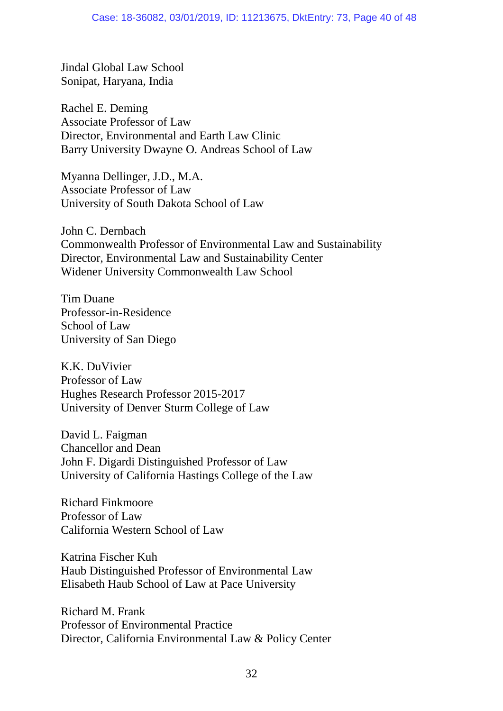Jindal Global Law School Sonipat, Haryana, India

Rachel E. Deming Associate Professor of Law Director, Environmental and Earth Law Clinic Barry University Dwayne O. Andreas School of Law

Myanna Dellinger, J.D., M.A. Associate Professor of Law University of South Dakota School of Law

John C. Dernbach Commonwealth Professor of Environmental Law and Sustainability Director, Environmental Law and Sustainability Center Widener University Commonwealth Law School

Tim Duane Professor-in-Residence School of Law University of San Diego

K.K. DuVivier Professor of Law Hughes Research Professor 2015-2017 University of Denver Sturm College of Law

David L. Faigman Chancellor and Dean John F. Digardi Distinguished Professor of Law University of California Hastings College of the Law

Richard Finkmoore Professor of Law California Western School of Law

Katrina Fischer Kuh Haub Distinguished Professor of Environmental Law Elisabeth Haub School of Law at Pace University

Richard M. Frank Professor of Environmental Practice Director, California Environmental Law & Policy Center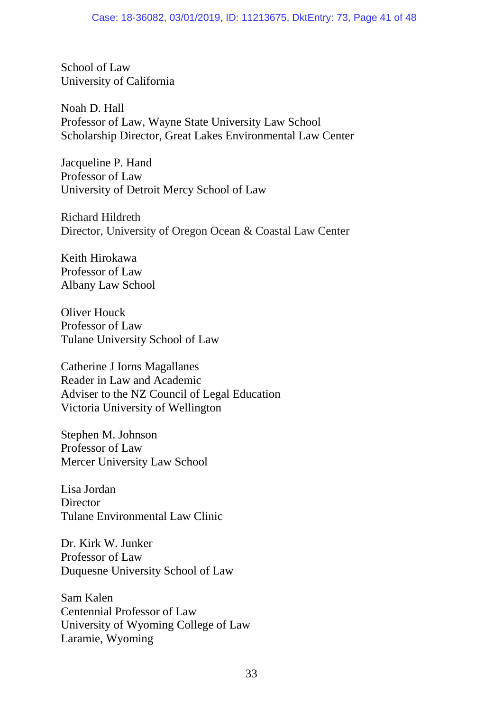School of Law University of California

Noah D. Hall Professor of Law, Wayne State University Law School Scholarship Director, Great Lakes Environmental Law Center

Jacqueline P. Hand Professor of Law University of Detroit Mercy School of Law

Richard Hildreth Director, University of Oregon Ocean & Coastal Law Center

Keith Hirokawa Professor of Law Albany Law School

Oliver Houck Professor of Law Tulane University School of Law

Catherine J Iorns Magallanes Reader in Law and Academic Adviser to the NZ Council of Legal Education Victoria University of Wellington

Stephen M. Johnson Professor of Law Mercer University Law School

Lisa Jordan **Director** Tulane Environmental Law Clinic

Dr. Kirk W. Junker Professor of Law Duquesne University School of Law

Sam Kalen Centennial Professor of Law University of Wyoming College of Law Laramie, Wyoming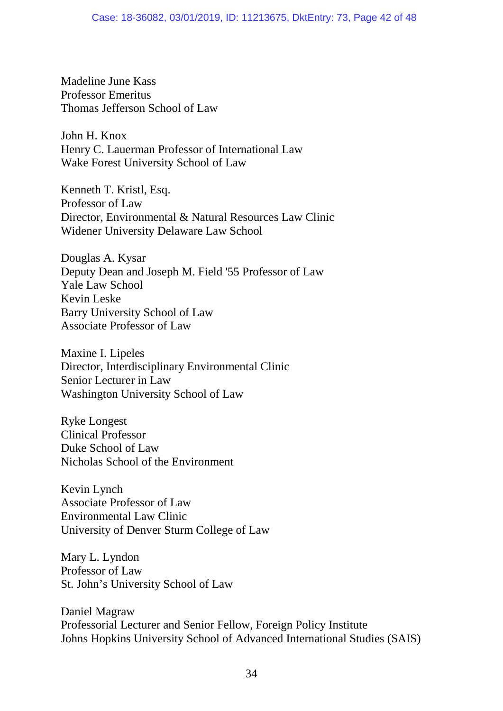Madeline June Kass Professor Emeritus Thomas Jefferson School of Law

John H. Knox Henry C. Lauerman Professor of International Law Wake Forest University School of Law

Kenneth T. Kristl, Esq. Professor of Law Director, Environmental & Natural Resources Law Clinic Widener University Delaware Law School

Douglas A. Kysar Deputy Dean and Joseph M. Field '55 Professor of Law Yale Law School Kevin Leske Barry University School of Law Associate Professor of Law

Maxine I. Lipeles Director, Interdisciplinary Environmental Clinic Senior Lecturer in Law Washington University School of Law

Ryke Longest Clinical Professor Duke School of Law Nicholas School of the Environment

Kevin Lynch Associate Professor of Law Environmental Law Clinic University of Denver Sturm College of Law

Mary L. Lyndon Professor of Law St. John's University School of Law

Daniel Magraw Professorial Lecturer and Senior Fellow, Foreign Policy Institute Johns Hopkins University School of Advanced International Studies (SAIS)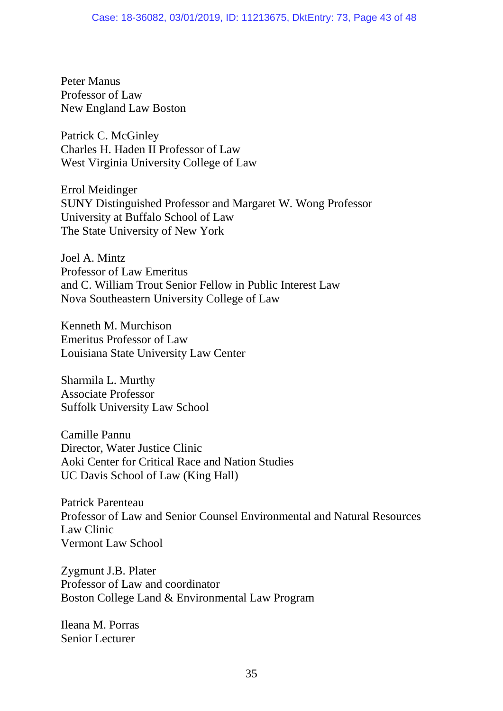Peter Manus Professor of Law New England Law Boston

Patrick C. McGinley Charles H. Haden II Professor of Law West Virginia University College of Law

Errol Meidinger SUNY Distinguished Professor and Margaret W. Wong Professor University at Buffalo School of Law The State University of New York

Joel A. Mintz Professor of Law Emeritus and C. William Trout Senior Fellow in Public Interest Law Nova Southeastern University College of Law

Kenneth M. Murchison Emeritus Professor of Law Louisiana State University Law Center

Sharmila L. Murthy Associate Professor Suffolk University Law School

Camille Pannu Director, Water Justice Clinic Aoki Center for Critical Race and Nation Studies UC Davis School of Law (King Hall)

Patrick Parenteau Professor of Law and Senior Counsel Environmental and Natural Resources Law Clinic Vermont Law School

Zygmunt J.B. Plater Professor of Law and coordinator Boston College Land & Environmental Law Program

Ileana M. Porras Senior Lecturer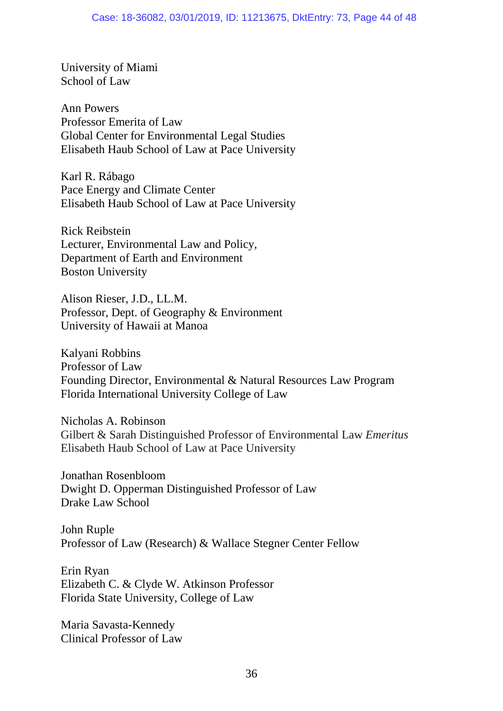University of Miami School of Law

Ann Powers Professor Emerita of Law Global Center for Environmental Legal Studies Elisabeth Haub School of Law at Pace University

Karl R. Rábago Pace Energy and Climate Center Elisabeth Haub School of Law at Pace University

Rick Reibstein Lecturer, Environmental Law and Policy, Department of Earth and Environment Boston University

Alison Rieser, J.D., LL.M. Professor, Dept. of Geography & Environment University of Hawaii at Manoa

Kalyani Robbins Professor of Law Founding Director, Environmental & Natural Resources Law Program Florida International University College of Law

Nicholas A. Robinson Gilbert & Sarah Distinguished Professor of Environmental Law *Emeritus* Elisabeth Haub School of Law at Pace University

Jonathan Rosenbloom Dwight D. Opperman Distinguished Professor of Law Drake Law School

John Ruple Professor of Law (Research) & Wallace Stegner Center Fellow

Erin Ryan Elizabeth C. & Clyde W. Atkinson Professor Florida State University, College of Law

Maria Savasta-Kennedy Clinical Professor of Law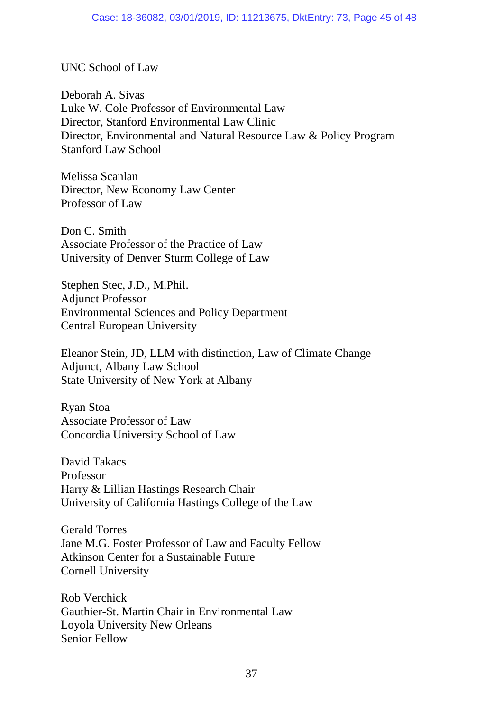## UNC School of Law

Deborah A. Sivas Luke W. Cole Professor of Environmental Law Director, Stanford Environmental Law Clinic Director, Environmental and Natural Resource Law & Policy Program Stanford Law School

Melissa Scanlan Director, New Economy Law Center Professor of Law

Don C. Smith Associate Professor of the Practice of Law University of Denver Sturm College of Law

Stephen Stec, J.D., M.Phil. Adjunct Professor Environmental Sciences and Policy Department Central European University

Eleanor Stein, JD, LLM with distinction, Law of Climate Change Adjunct, Albany Law School State University of New York at Albany

Ryan Stoa Associate Professor of Law Concordia University School of Law

David Takacs Professor Harry & Lillian Hastings Research Chair University of California Hastings College of the Law

Gerald Torres Jane M.G. Foster Professor of Law and Faculty Fellow Atkinson Center for a Sustainable Future Cornell University

Rob Verchick Gauthier-St. Martin Chair in Environmental Law Loyola University New Orleans Senior Fellow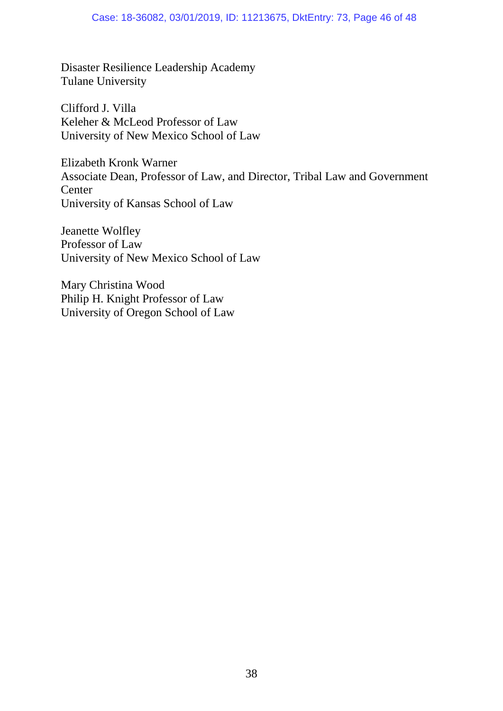Disaster Resilience Leadership Academy Tulane University

Clifford J. Villa Keleher & McLeod Professor of Law University of New Mexico School of Law

Elizabeth Kronk Warner Associate Dean, Professor of Law, and Director, Tribal Law and Government **Center** University of Kansas School of Law

Jeanette Wolfley Professor of Law University of New Mexico School of Law

Mary Christina Wood Philip H. Knight Professor of Law University of Oregon School of Law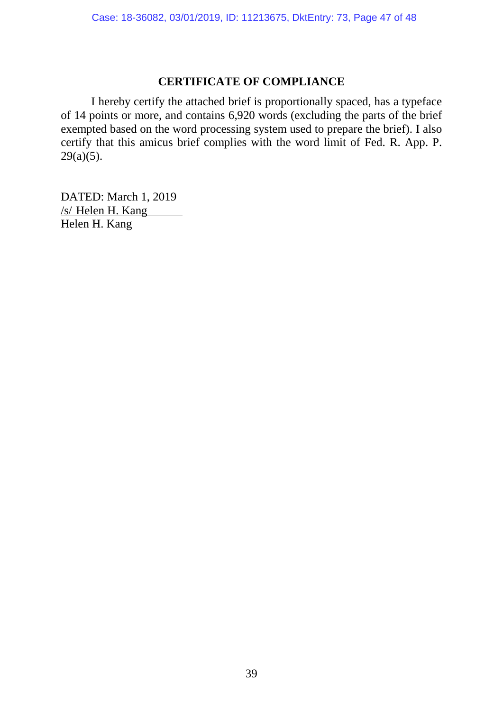## **CERTIFICATE OF COMPLIANCE**

I hereby certify the attached brief is proportionally spaced, has a typeface of 14 points or more, and contains 6,920 words (excluding the parts of the brief exempted based on the word processing system used to prepare the brief). I also certify that this amicus brief complies with the word limit of Fed. R. App. P.  $29(a)(5)$ .

DATED: March 1, 2019 /s/ Helen H. Kang Helen H. Kang